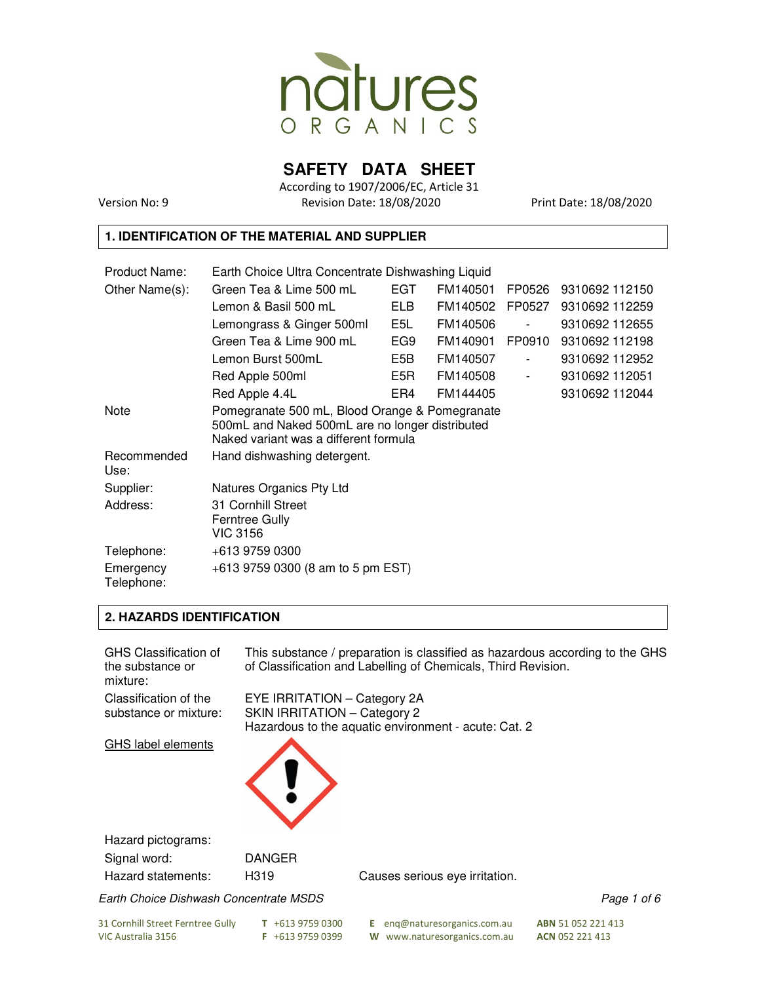

**SAFETY DATA SHEET** 

According to 1907/2006/EC, Article 31 Version No: 9 Revision Date: 18/08/2020 Print Date: 18/08/2020

#### **1. IDENTIFICATION OF THE MATERIAL AND SUPPLIER**

| Product Name:           | Earth Choice Ultra Concentrate Dishwashing Liquid                                                                                          |            |          |        |                |  |
|-------------------------|--------------------------------------------------------------------------------------------------------------------------------------------|------------|----------|--------|----------------|--|
| Other Name(s):          | Green Tea & Lime 500 mL                                                                                                                    | EGT        | FM140501 | FP0526 | 9310692 112150 |  |
|                         | Lemon & Basil 500 mL                                                                                                                       | <b>ELB</b> | FM140502 | FP0527 | 9310692 112259 |  |
|                         | Lemongrass & Ginger 500ml                                                                                                                  | E5L        | FM140506 |        | 9310692 112655 |  |
|                         | Green Tea & Lime 900 mL                                                                                                                    | EG9        | FM140901 | FP0910 | 9310692 112198 |  |
|                         | Lemon Burst 500mL                                                                                                                          | E5B        | FM140507 |        | 9310692 112952 |  |
|                         | Red Apple 500ml                                                                                                                            | E5R        | FM140508 |        | 9310692 112051 |  |
|                         | Red Apple 4.4L                                                                                                                             | ER4        | FM144405 |        | 9310692 112044 |  |
| Note                    | Pomegranate 500 mL, Blood Orange & Pomegranate<br>500mL and Naked 500mL are no longer distributed<br>Naked variant was a different formula |            |          |        |                |  |
| Recommended<br>Use:     | Hand dishwashing detergent.                                                                                                                |            |          |        |                |  |
| Supplier:               | Natures Organics Pty Ltd                                                                                                                   |            |          |        |                |  |
| Address:                | 31 Cornhill Street<br><b>Ferntree Gully</b><br>VIC 3156                                                                                    |            |          |        |                |  |
| Telephone:              | +613 9759 0300                                                                                                                             |            |          |        |                |  |
| Emergency<br>Telephone: | $+613$ 9759 0300 (8 am to 5 pm EST)                                                                                                        |            |          |        |                |  |

#### **2. HAZARDS IDENTIFICATION**

| <b>GHS Classification of</b><br>the substance or<br>mixture: |                                                                     | This substance / preparation is classified as hazardous according to the GHS<br>of Classification and Labelling of Chemicals, Third Revision. |                    |
|--------------------------------------------------------------|---------------------------------------------------------------------|-----------------------------------------------------------------------------------------------------------------------------------------------|--------------------|
| Classification of the<br>substance or mixture:               | EYE IRRITATION - Category 2A<br><b>SKIN IRRITATION - Category 2</b> | Hazardous to the aquatic environment - acute: Cat. 2                                                                                          |                    |
| <b>GHS label elements</b>                                    |                                                                     |                                                                                                                                               |                    |
| Hazard pictograms:                                           |                                                                     |                                                                                                                                               |                    |
| Signal word:                                                 | <b>DANGER</b>                                                       |                                                                                                                                               |                    |
| Hazard statements:                                           | H319                                                                | Causes serious eye irritation.                                                                                                                |                    |
| Earth Choice Dishwash Concentrate MSDS                       |                                                                     |                                                                                                                                               | Page 1 of 6        |
| 31 Cornhill Street Ferntree Gully                            | $T + 61397590300$                                                   | eng@naturesorganics.com.au<br>E.                                                                                                              | ABN 51 052 221 413 |

VIC Australia 3156 **F** +613 9759 0399 **W** www.naturesorganics.com.au **ACN** 052 221 413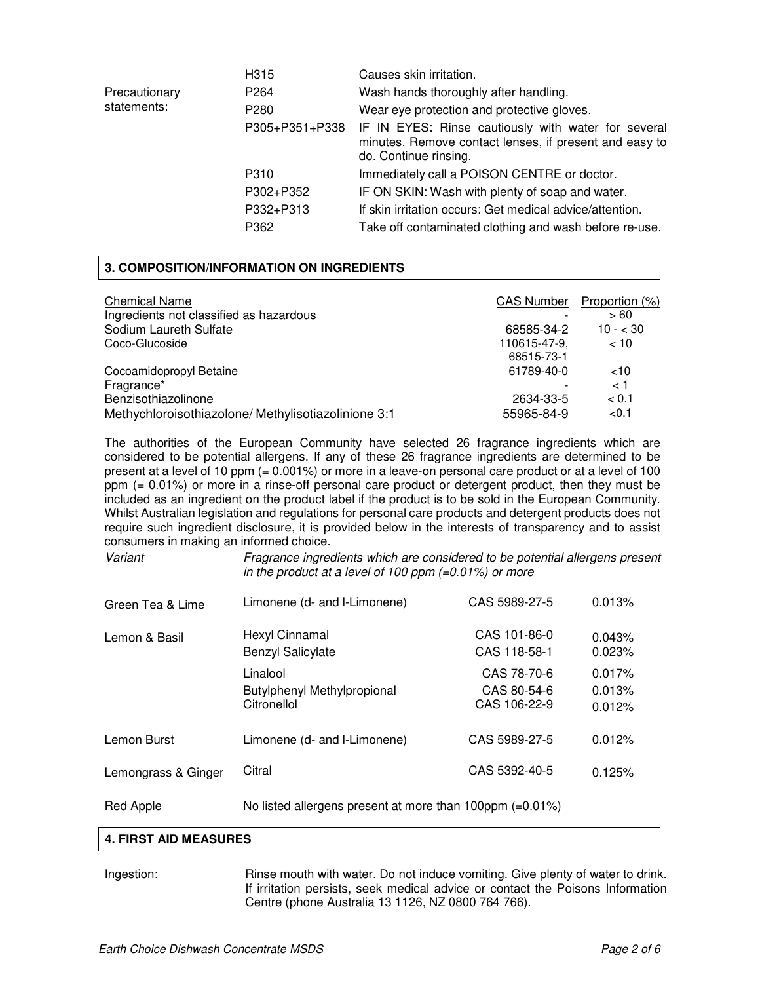|               | H315             | Causes skin irritation.                                                                                                                |
|---------------|------------------|----------------------------------------------------------------------------------------------------------------------------------------|
| Precautionary | P <sub>264</sub> | Wash hands thoroughly after handling.                                                                                                  |
| statements:   | P <sub>280</sub> | Wear eye protection and protective gloves.                                                                                             |
|               | P305+P351+P338   | IF IN EYES: Rinse cautiously with water for several<br>minutes. Remove contact lenses, if present and easy to<br>do. Continue rinsing. |
|               | P310             | Immediately call a POISON CENTRE or doctor.                                                                                            |
|               | P302+P352        | IF ON SKIN: Wash with plenty of soap and water.                                                                                        |
|               | P332+P313        | If skin irritation occurs: Get medical advice/attention.                                                                               |
|               | P362             | Take off contaminated clothing and wash before re-use.                                                                                 |

#### **3. COMPOSITION/INFORMATION ON INGREDIENTS**

| <b>Chemical Name</b><br>Ingredients not classified as hazardous | <b>CAS Number</b> | Proportion (%)<br>>60 |
|-----------------------------------------------------------------|-------------------|-----------------------|
| Sodium Laureth Sulfate                                          | 68585-34-2        | $10 - 30$             |
| Coco-Glucoside                                                  | 110615-47-9.      | ~10                   |
|                                                                 | 68515-73-1        |                       |
| Cocoamidopropyl Betaine                                         | 61789-40-0        | ~10                   |
| Fragrance*                                                      |                   | < 1                   |
| Benzisothiazolinone                                             | 2634-33-5         | < 0.1                 |
| Methychloroisothiazolone/Methylisotiazolinione 3:1              | 55965-84-9        | < 0.1                 |

The authorities of the European Community have selected 26 fragrance ingredients which are considered to be potential allergens. If any of these 26 fragrance ingredients are determined to be present at a level of 10 ppm (= 0.001%) or more in a leave-on personal care product or at a level of 100 ppm (= 0.01%) or more in a rinse-off personal care product or detergent product, then they must be included as an ingredient on the product label if the product is to be sold in the European Community. Whilst Australian legislation and regulations for personal care products and detergent products does not require such ingredient disclosure, it is provided below in the interests of transparency and to assist consumers in making an informed choice.

Variant Fragrance ingredients which are considered to be potential allergens present in the product at a level of 100 ppm  $(=0.01\%)$  or more

| Green Tea & Lime    | Limonene (d- and I-Limonene)                           | CAS 5989-27-5                              | 0.013%                     |
|---------------------|--------------------------------------------------------|--------------------------------------------|----------------------------|
| Lemon & Basil       | Hexyl Cinnamal<br><b>Benzyl Salicylate</b>             | CAS 101-86-0<br>CAS 118-58-1               | 0.043%<br>0.023%           |
|                     | Linalool<br>Butylphenyl Methylpropional<br>Citronellol | CAS 78-70-6<br>CAS 80-54-6<br>CAS 106-22-9 | 0.017%<br>0.013%<br>0.012% |
| Lemon Burst         | Limonene (d- and I-Limonene)                           | CAS 5989-27-5                              | 0.012%                     |
| Lemongrass & Ginger | Citral                                                 | CAS 5392-40-5                              | 0.125%                     |

#### Red Apple No listed allergens present at more than 100ppm (=0.01%)

#### **4. FIRST AID MEASURES**

Ingestion: Rinse mouth with water. Do not induce vomiting. Give plenty of water to drink. If irritation persists, seek medical advice or contact the Poisons Information Centre (phone Australia 13 1126, NZ 0800 764 766).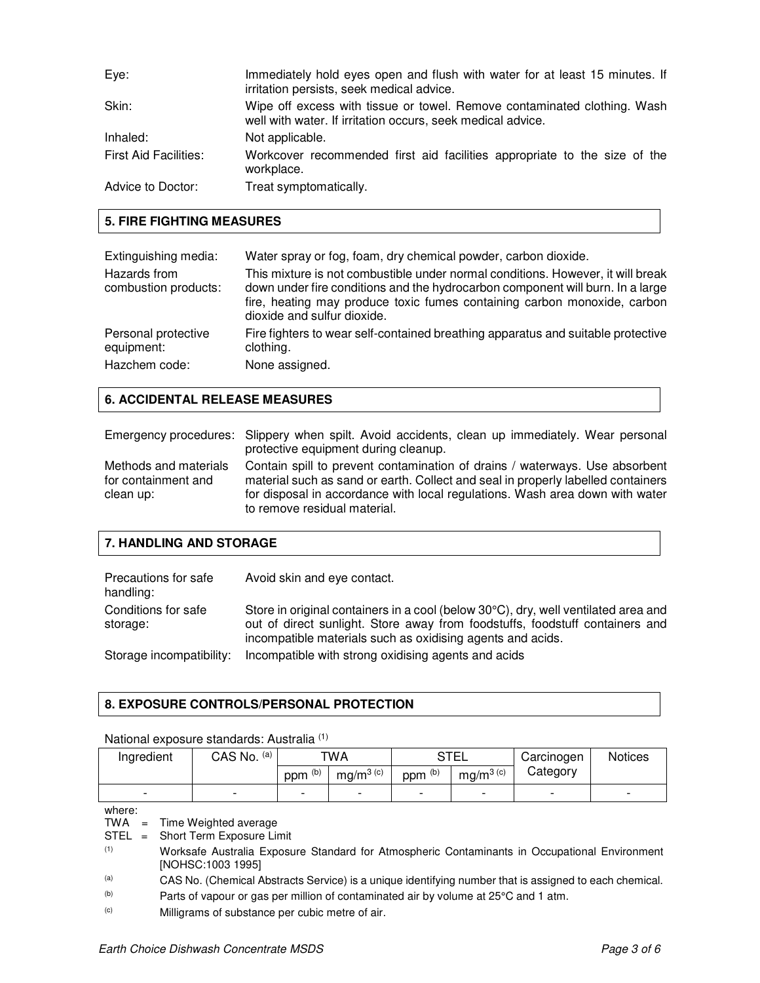| Eye:                         | Immediately hold eyes open and flush with water for at least 15 minutes. If<br>irritation persists, seek medical advice.                |
|------------------------------|-----------------------------------------------------------------------------------------------------------------------------------------|
| Skin:                        | Wipe off excess with tissue or towel. Remove contaminated clothing. Wash<br>well with water. If irritation occurs, seek medical advice. |
| Inhaled:                     | Not applicable.                                                                                                                         |
| <b>First Aid Facilities:</b> | Workcover recommended first aid facilities appropriate to the size of the<br>workplace.                                                 |
| Advice to Doctor:            | Treat symptomatically.                                                                                                                  |

## **5. FIRE FIGHTING MEASURES**

| Extinguishing media:<br>Hazards from<br>combustion products: | Water spray or fog, foam, dry chemical powder, carbon dioxide.<br>This mixture is not combustible under normal conditions. However, it will break<br>down under fire conditions and the hydrocarbon component will burn. In a large<br>fire, heating may produce toxic fumes containing carbon monoxide, carbon<br>dioxide and sulfur dioxide. |
|--------------------------------------------------------------|------------------------------------------------------------------------------------------------------------------------------------------------------------------------------------------------------------------------------------------------------------------------------------------------------------------------------------------------|
| Personal protective                                          | Fire fighters to wear self-contained breathing apparatus and suitable protective                                                                                                                                                                                                                                                               |
| equipment:                                                   | clothing.                                                                                                                                                                                                                                                                                                                                      |
| Hazchem code:                                                | None assigned.                                                                                                                                                                                                                                                                                                                                 |

# **6. ACCIDENTAL RELEASE MEASURES**

|                                                           | Emergency procedures: Slippery when spilt. Avoid accidents, clean up immediately. Wear personal<br>protective equipment during cleanup.                                                                                                                                         |
|-----------------------------------------------------------|---------------------------------------------------------------------------------------------------------------------------------------------------------------------------------------------------------------------------------------------------------------------------------|
| Methods and materials<br>for containment and<br>clean up: | Contain spill to prevent contamination of drains / waterways. Use absorbent<br>material such as sand or earth. Collect and seal in properly labelled containers<br>for disposal in accordance with local regulations. Wash area down with water<br>to remove residual material. |

# **7. HANDLING AND STORAGE**

| Precautions for safe<br>handling: | Avoid skin and eye contact.                                                                                                                                                                                                      |
|-----------------------------------|----------------------------------------------------------------------------------------------------------------------------------------------------------------------------------------------------------------------------------|
| Conditions for safe<br>storage:   | Store in original containers in a cool (below 30°C), dry, well ventilated area and<br>out of direct sunlight. Store away from foodstuffs, foodstuff containers and<br>incompatible materials such as oxidising agents and acids. |
| Storage incompatibility:          | Incompatible with strong oxidising agents and acids                                                                                                                                                                              |

# **8. EXPOSURE CONTROLS/PERSONAL PROTECTION**

#### National exposure standards: Australia (1)

| Ingredient | (a)<br>CAS No.           | TWA     |              | <b>STEL</b>              |                          | Carcinogen | <b>Notices</b>           |
|------------|--------------------------|---------|--------------|--------------------------|--------------------------|------------|--------------------------|
|            |                          | ppm (b) | mg/m $3$ (c) | ppm <sup>(b)</sup>       | mg/m $3$ (c)             | Category   |                          |
|            | $\overline{\phantom{0}}$ |         |              | $\overline{\phantom{0}}$ | $\overline{\phantom{0}}$ | -          | $\overline{\phantom{0}}$ |

where:

TWA = Time Weighted average

 $STEL =$ Short Term Exposure Limit

- (1) Worksafe Australia Exposure Standard for Atmospheric Contaminants in Occupational Environment [NOHSC:1003 1995]
- (a) CAS No. (Chemical Abstracts Service) is a unique identifying number that is assigned to each chemical.

(b) Parts of vapour or gas per million of contaminated air by volume at 25°C and 1 atm.

(c) Milligrams of substance per cubic metre of air.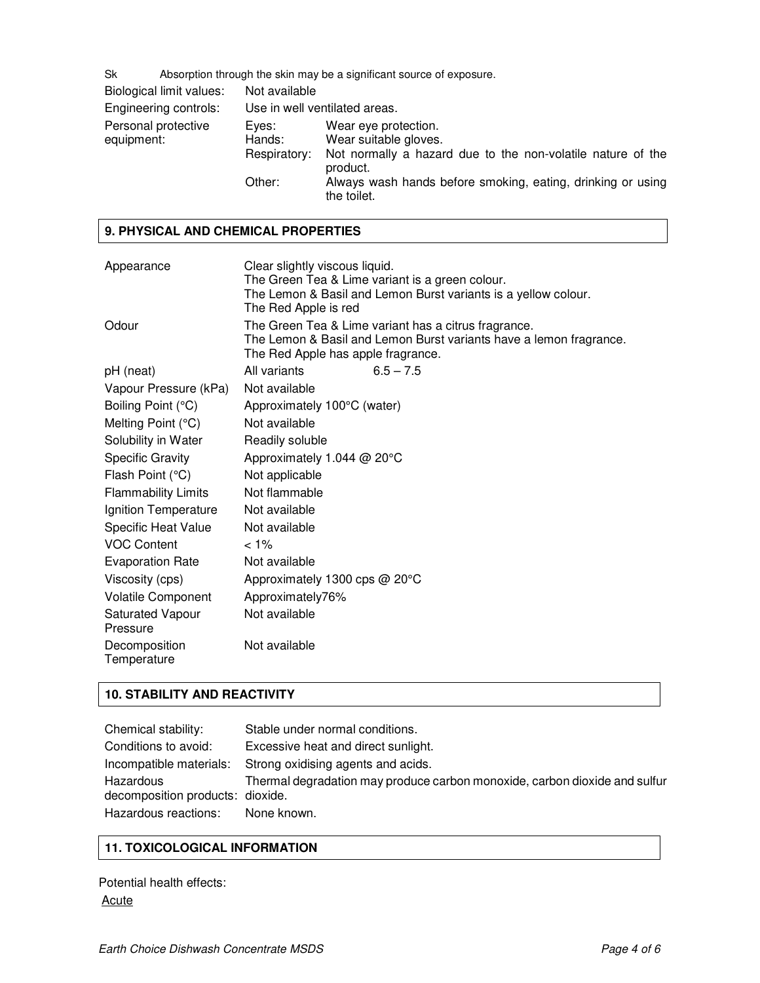Sk Absorption through the skin may be a significant source of exposure.

| Biological limit values:          | Not available                   |                                                                                                                          |
|-----------------------------------|---------------------------------|--------------------------------------------------------------------------------------------------------------------------|
| Engineering controls:             |                                 | Use in well ventilated areas.                                                                                            |
| Personal protective<br>equipment: | Eves:<br>Hands:<br>Respiratory: | Wear eye protection.<br>Wear suitable gloves.<br>Not normally a hazard due to the non-volatile nature of the<br>product. |
|                                   | Other:                          | Always wash hands before smoking, eating, drinking or using<br>the toilet.                                               |

#### **9. PHYSICAL AND CHEMICAL PROPERTIES**

| Appearance                          | Clear slightly viscous liquid.<br>The Green Tea & Lime variant is a green colour.<br>The Lemon & Basil and Lemon Burst variants is a yellow colour.<br>The Red Apple is red |  |
|-------------------------------------|-----------------------------------------------------------------------------------------------------------------------------------------------------------------------------|--|
| Odour                               | The Green Tea & Lime variant has a citrus fragrance.<br>The Lemon & Basil and Lemon Burst variants have a lemon fragrance.<br>The Red Apple has apple fragrance.            |  |
| pH (neat)                           | All variants<br>$6.5 - 7.5$                                                                                                                                                 |  |
| Vapour Pressure (kPa)               | Not available                                                                                                                                                               |  |
| Boiling Point (°C)                  | Approximately 100°C (water)                                                                                                                                                 |  |
| Melting Point (°C)                  | Not available                                                                                                                                                               |  |
| Solubility in Water                 | Readily soluble                                                                                                                                                             |  |
| <b>Specific Gravity</b>             | Approximately 1.044 @ 20°C                                                                                                                                                  |  |
| Flash Point (°C)                    | Not applicable                                                                                                                                                              |  |
| <b>Flammability Limits</b>          | Not flammable                                                                                                                                                               |  |
| Ignition Temperature                | Not available                                                                                                                                                               |  |
| <b>Specific Heat Value</b>          | Not available                                                                                                                                                               |  |
| <b>VOC Content</b>                  | $< 1\%$                                                                                                                                                                     |  |
| <b>Evaporation Rate</b>             | Not available                                                                                                                                                               |  |
| Viscosity (cps)                     | Approximately 1300 cps @ 20°C                                                                                                                                               |  |
| <b>Volatile Component</b>           | Approximately76%                                                                                                                                                            |  |
| <b>Saturated Vapour</b><br>Pressure | Not available                                                                                                                                                               |  |
| Decomposition<br>Temperature        | Not available                                                                                                                                                               |  |

# **10. STABILITY AND REACTIVITY**

| Chemical stability:                           | Stable under normal conditions.                                            |
|-----------------------------------------------|----------------------------------------------------------------------------|
| Conditions to avoid:                          | Excessive heat and direct sunlight.                                        |
| Incompatible materials:                       | Strong oxidising agents and acids.                                         |
| Hazardous<br>decomposition products: dioxide. | Thermal degradation may produce carbon monoxide, carbon dioxide and sulfur |
| Hazardous reactions:                          | None known.                                                                |

# **11. TOXICOLOGICAL INFORMATION**

Potential health effects: **Acute**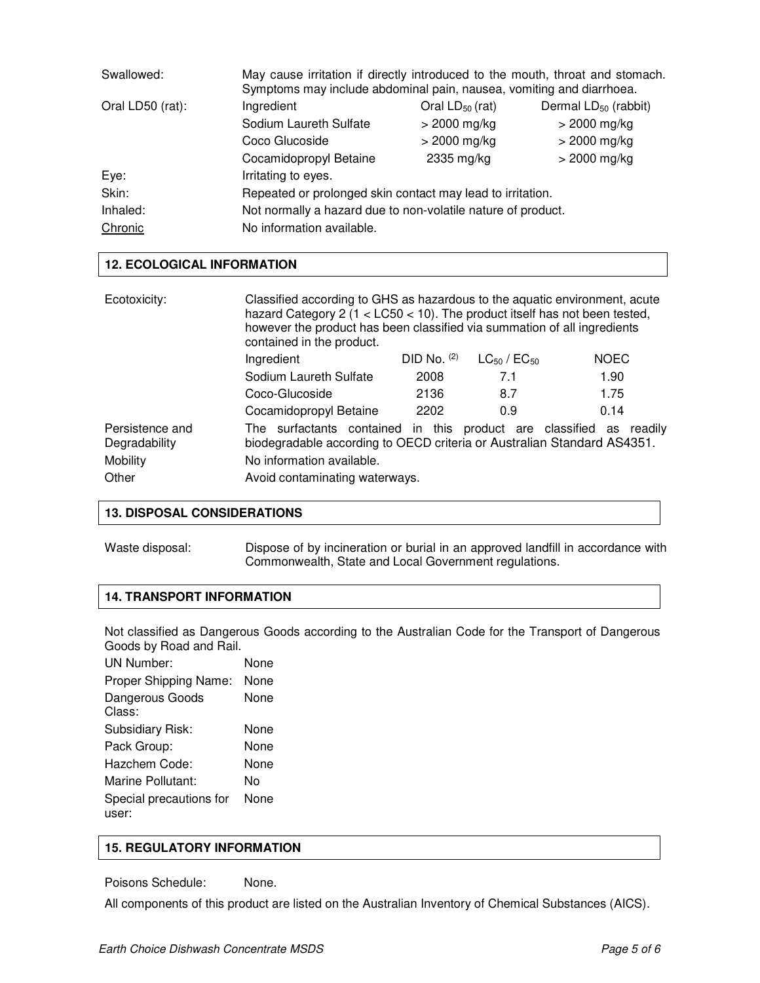| Swallowed:       | May cause irritation if directly introduced to the mouth, throat and stomach.<br>Symptoms may include abdominal pain, nausea, vomiting and diarrhoea. |                      |                                  |
|------------------|-------------------------------------------------------------------------------------------------------------------------------------------------------|----------------------|----------------------------------|
| Oral LD50 (rat): | Ingredient                                                                                                                                            | Oral $LD_{50}$ (rat) | Dermal LD <sub>50</sub> (rabbit) |
|                  | Sodium Laureth Sulfate                                                                                                                                | $>$ 2000 mg/kg       | $>$ 2000 mg/kg                   |
|                  | Coco Glucoside                                                                                                                                        | $>$ 2000 mg/kg       | $>$ 2000 mg/kg                   |
|                  | Cocamidopropyl Betaine                                                                                                                                | 2335 mg/kg           | $>$ 2000 mg/kg                   |
| Eye:             | Irritating to eyes.                                                                                                                                   |                      |                                  |
| Skin:            | Repeated or prolonged skin contact may lead to irritation.                                                                                            |                      |                                  |
| Inhaled:         | Not normally a hazard due to non-volatile nature of product.                                                                                          |                      |                                  |
| Chronic          | No information available.                                                                                                                             |                      |                                  |

#### **12. ECOLOGICAL INFORMATION**

| Ecotoxicity:                     | Classified according to GHS as hazardous to the aquatic environment, acute<br>hazard Category 2 ( $1 <$ LC50 $<$ 10). The product itself has not been tested,<br>however the product has been classified via summation of all ingredients<br>contained in the product. |               |                       |             |
|----------------------------------|------------------------------------------------------------------------------------------------------------------------------------------------------------------------------------------------------------------------------------------------------------------------|---------------|-----------------------|-------------|
|                                  | Ingredient                                                                                                                                                                                                                                                             | DID No. $(2)$ | $LG_{50}$ / $EC_{50}$ | <b>NOEC</b> |
|                                  | Sodium Laureth Sulfate                                                                                                                                                                                                                                                 | 2008          | 7.1                   | 1.90        |
|                                  | Coco-Glucoside                                                                                                                                                                                                                                                         | 2136          | 8.7                   | 1.75        |
|                                  | Cocamidopropyl Betaine                                                                                                                                                                                                                                                 | 2202          | 0.9                   | 0.14        |
| Persistence and<br>Degradability | The surfactants contained in this product are classified as readily<br>biodegradable according to OECD criteria or Australian Standard AS4351.                                                                                                                         |               |                       |             |
| Mobility                         | No information available.                                                                                                                                                                                                                                              |               |                       |             |
| Other                            | Avoid contaminating waterways.                                                                                                                                                                                                                                         |               |                       |             |

## **13. DISPOSAL CONSIDERATIONS**

Waste disposal: Dispose of by incineration or burial in an approved landfill in accordance with Commonwealth, State and Local Government regulations.

# **14. TRANSPORT INFORMATION**

Not classified as Dangerous Goods according to the Australian Code for the Transport of Dangerous Goods by Road and Rail.

| UN Number:                       | None |
|----------------------------------|------|
| Proper Shipping Name:            | None |
| Dangerous Goods<br>Class:        | None |
| Subsidiary Risk:                 | None |
| Pack Group:                      | None |
| Hazchem Code:                    | None |
| Marine Pollutant:                | N٥   |
| Special precautions for<br>user: | None |
|                                  |      |

# **15. REGULATORY INFORMATION**

Poisons Schedule: None.

All components of this product are listed on the Australian Inventory of Chemical Substances (AICS).